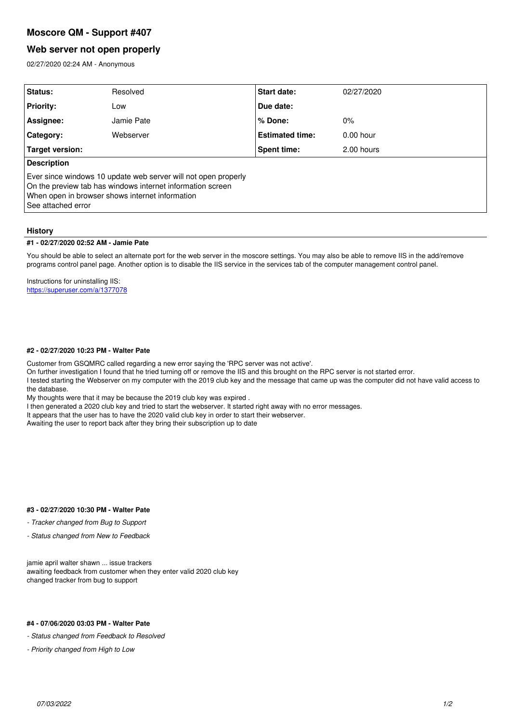# **Moscore QM - Support #407**

# **Web server not open properly**

02/27/2020 02:24 AM - Anonymous

| <b>Status:</b>                                                                                                                                                                                          | Resolved   | Start date:            | 02/27/2020  |
|---------------------------------------------------------------------------------------------------------------------------------------------------------------------------------------------------------|------------|------------------------|-------------|
| <b>Priority:</b>                                                                                                                                                                                        | Low        | Due date:              |             |
| Assignee:                                                                                                                                                                                               | Jamie Pate | % Done:                | $0\%$       |
| Category:                                                                                                                                                                                               | Webserver  | <b>Estimated time:</b> | $0.00$ hour |
| Target version:                                                                                                                                                                                         |            | Spent time:            | 2.00 hours  |
| <b>Description</b>                                                                                                                                                                                      |            |                        |             |
| Ever since windows 10 update web server will not open properly<br>On the preview tab has windows internet information screen<br>When open in browser shows internet information<br>l See attached error |            |                        |             |

### **History**

### **#1 - 02/27/2020 02:52 AM - Jamie Pate**

You should be able to select an alternate port for the web server in the moscore settings. You may also be able to remove IIS in the add/remove programs control panel page. Another option is to disable the IIS service in the services tab of the computer management control panel.

Instructions for uninstalling IIS: <https://superuser.com/a/1377078>

### **#2 - 02/27/2020 10:23 PM - Walter Pate**

Customer from GSQMRC called regarding a new error saying the 'RPC server was not active'.

On further investigation I found that he tried turning off or remove the IIS and this brought on the RPC server is not started error.

I tested starting the Webserver on my computer with the 2019 club key and the message that came up was the computer did not have valid access to the database.

My thoughts were that it may be because the 2019 club key was expired .

I then generated a 2020 club key and tried to start the webserver. It started right away with no error messages.

It appears that the user has to have the 2020 valid club key in order to start their webserver.

Awaiting the user to report back after they bring their subscription up to date

### **#3 - 02/27/2020 10:30 PM - Walter Pate**

*- Tracker changed from Bug to Support*

*- Status changed from New to Feedback*

jamie april walter shawn ... issue trackers awaiting feedback from customer when they enter valid 2020 club key changed tracker from bug to support

### **#4 - 07/06/2020 03:03 PM - Walter Pate**

*- Status changed from Feedback to Resolved*

*- Priority changed from High to Low*